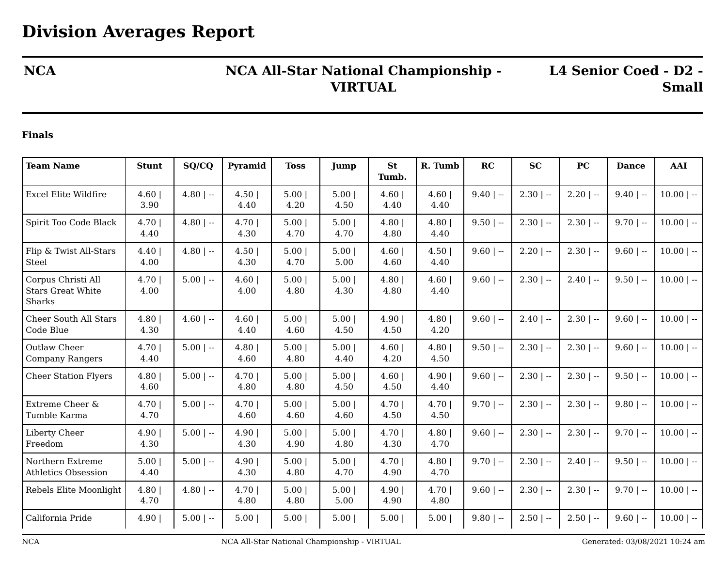## **NCA NCA All-Star National Championship - VIRTUAL**

**L4 Senior Coed - D2 - Small**

## **Finals**

| <b>Team Name</b>                                         | <b>Stunt</b> | SQ/CQ       | Pyramid       | <b>Toss</b>  | Jump          | <b>St</b><br>Tumb. | R. Tumb      | RC          | <b>SC</b>    | <b>PC</b>    | <b>Dance</b> | AAI          |
|----------------------------------------------------------|--------------|-------------|---------------|--------------|---------------|--------------------|--------------|-------------|--------------|--------------|--------------|--------------|
|                                                          |              |             |               |              |               |                    |              |             |              |              |              |              |
| Excel Elite Wildfire                                     | 4.60<br>3.90 | $4.80$   -- | 4.50 <br>4.40 | 5.00<br>4.20 | 5.00 <br>4.50 | 4.60<br>4.40       | 4.60<br>4.40 | $9.40$   -- | $2.30$   --  | $2.20$   --  | $9.40$   --  | $10.00$   -- |
| Spirit Too Code Black                                    | 4.70<br>4.40 | $4.80$   -- | 4.70 <br>4.30 | 5.00<br>4.70 | 5.00<br>4.70  | 4.80<br>4.80       | 4.80<br>4.40 | $9.50$   -- | $2.30$   $-$ | $2.30$   --  | $9.70$   --  | $10.00$   -- |
| Flip & Twist All-Stars<br>Steel                          | 4.40<br>4.00 | $4.80$   -- | 4.50 <br>4.30 | 5.00<br>4.70 | 5.00<br>5.00  | 4.60<br>4.60       | 4.50<br>4.40 | $9.60$   -- | $2.20$   $-$ | $2.30$   --  | $9.60$   --  | $10.00$   -- |
| Corpus Christi All<br><b>Stars Great White</b><br>Sharks | 4.70<br>4.00 | $5.00$   -- | 4.60<br>4.00  | 5.00<br>4.80 | 5.00 <br>4.30 | 4.80<br>4.80       | 4.60<br>4.40 | $9.60$   -- | $2.30$   --  | $2.40$   --  | $9.50$   --  | $10.00$   -- |
| Cheer South All Stars<br>Code Blue                       | 4.80<br>4.30 | $4.60$   -- | 4.60<br>4.40  | 5.00<br>4.60 | 5.00<br>4.50  | 4.90<br>4.50       | 4.80<br>4.20 | $9.60$   -- | $2.40$   $-$ | $2.30$   --  | $9.60$   --  | $10.00$   -- |
| Outlaw Cheer<br><b>Company Rangers</b>                   | 4.70<br>4.40 | $5.00$   -- | 4.80<br>4.60  | 5.00<br>4.80 | 5.00<br>4.40  | 4.60<br>4.20       | 4.80<br>4.50 | $9.50$   -- | $2.30$   --  | $2.30$   --  | $9.60$   --  | $10.00$   -- |
| <b>Cheer Station Flyers</b>                              | 4.80<br>4.60 | $5.00$   -- | 4.70 <br>4.80 | 5.00<br>4.80 | 5.00<br>4.50  | 4.60<br>4.50       | 4.90<br>4.40 | $9.60$   -- | $2.30$   --  | $2.30$   --  | $9.50$   --  | $10.00$   -- |
| Extreme Cheer &<br>Tumble Karma                          | 4.70<br>4.70 | $5.00$   -- | 4.70<br>4.60  | 5.00<br>4.60 | 5.00<br>4.60  | 4.70<br>4.50       | 4.70<br>4.50 | $9.70$   -- | $2.30$   --  | $2.30$   --  | $9.80$   --  | $10.00$   -- |
| Liberty Cheer<br>Freedom                                 | 4.90<br>4.30 | $5.00$   -- | 4.90 <br>4.30 | 5.00<br>4.90 | 5.00<br>4.80  | 4.70<br>4.30       | 4.80<br>4.70 | $9.60$   -- | $2.30$   --  | $2.30$   --  | $9.70$   --  | $10.00$   -- |
| Northern Extreme<br>Athletics Obsession                  | 5.00<br>4.40 | $5.00$   -- | 4.90 <br>4.30 | 5.00<br>4.80 | 5.00 <br>4.70 | 4.70<br>4.90       | 4.80<br>4.70 | $9.70$   -- | $2.30$   $-$ | $2.40$   $-$ | $9.50$   --  | $10.00$   -- |
| Rebels Elite Moonlight                                   | 4.80<br>4.70 | $4.80$   -- | 4.70 <br>4.80 | 5.00<br>4.80 | 5.00<br>5.00  | 4.90<br>4.90       | 4.70<br>4.80 | $9.60$   -- | $2.30$   --  | $2.30$   --  | $9.70$   --  | $10.00$   -- |
| California Pride                                         | 4.90         | $5.00$   -- | 5.00          | 5.00         | 5.00          | 5.00               | 5.00         | $9.80$   -- | $2.50$   $-$ | $2.50$   --  | $9.60$   --  | $10.00$   -- |